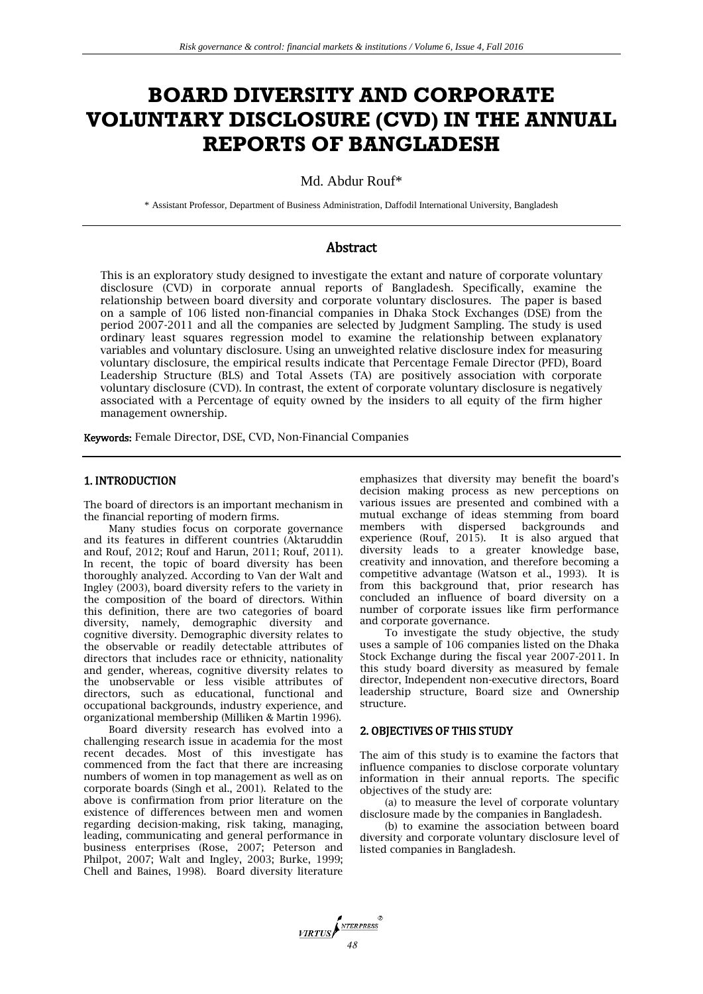# **BOARD DIVERSITY AND CORPORATE VOLUNTARY DISCLOSURE (CVD) IN THE ANNUAL REPORTS OF BANGLADESH**

Md. Abdur Rouf\*

\* Assistant Professor, Department of Business Administration, Daffodil International University, Bangladesh

## Abstract

This is an exploratory study designed to investigate the extant and nature of corporate voluntary disclosure (CVD) in corporate annual reports of Bangladesh. Specifically, examine the relationship between board diversity and corporate voluntary disclosures. The paper is based on a sample of 106 listed non-financial companies in Dhaka Stock Exchanges (DSE) from the period 2007-2011 and all the companies are selected by Judgment Sampling. The study is used ordinary least squares regression model to examine the relationship between explanatory variables and voluntary disclosure. Using an unweighted relative disclosure index for measuring voluntary disclosure, the empirical results indicate that Percentage Female Director (PFD), Board Leadership Structure (BLS) and Total Assets (TA) are positively association with corporate voluntary disclosure (CVD). In contrast, the extent of corporate voluntary disclosure is negatively associated with a Percentage of equity owned by the insiders to all equity of the firm higher management ownership.

Keywords: Female Director, DSE, CVD, Non-Financial Companies

### 1. INTRODUCTION

The board of directors is an important mechanism in the financial reporting of modern firms.

Many studies focus on corporate governance and its features in different countries (Aktaruddin and Rouf, 2012; Rouf and Harun, 2011; Rouf, 2011). In recent, the topic of board diversity has been thoroughly analyzed. According to Van der Walt and Ingley (2003), board diversity refers to the variety in the composition of the board of directors. Within this definition, there are two categories of board diversity, namely, demographic diversity and cognitive diversity. Demographic diversity relates to the observable or readily detectable attributes of directors that includes race or ethnicity, nationality and gender, whereas, cognitive diversity relates to the unobservable or less visible attributes of directors, such as educational, functional and occupational backgrounds, industry experience, and organizational membership (Milliken & Martin 1996).

Board diversity research has evolved into a challenging research issue in academia for the most recent decades. Most of this investigate has commenced from the fact that there are increasing numbers of women in top management as well as on corporate boards (Singh et al., 2001). Related to the above is confirmation from prior literature on the existence of differences between men and women regarding decision-making, risk taking, managing, leading, communicating and general performance in business enterprises (Rose, 2007; Peterson and Philpot, 2007; Walt and Ingley, 2003; Burke, 1999; Chell and Baines, 1998). Board diversity literature

emphasizes that diversity may benefit the board's decision making process as new perceptions on various issues are presented and combined with a mutual exchange of ideas stemming from board members with dispersed backgrounds and experience (Rouf, 2015). It is also argued that diversity leads to a greater knowledge base, creativity and innovation, and therefore becoming a competitive advantage (Watson et al., 1993). It is from this background that, prior research has concluded an influence of board diversity on a number of corporate issues like firm performance and corporate governance.

To investigate the study objective, the study uses a sample of 106 companies listed on the Dhaka Stock Exchange during the fiscal year 2007-2011. In this study board diversity as measured by female director, Independent non-executive directors, Board leadership structure, Board size and Ownership structure.

#### 2. OBJECTIVES OF THIS STUDY

The aim of this study is to examine the factors that influence companies to disclose corporate voluntary information in their annual reports. The specific objectives of the study are:

(a) to measure the level of corporate voluntary disclosure made by the companies in Bangladesh.

(b) to examine the association between board diversity and corporate voluntary disclosure level of listed companies in Bangladesh.

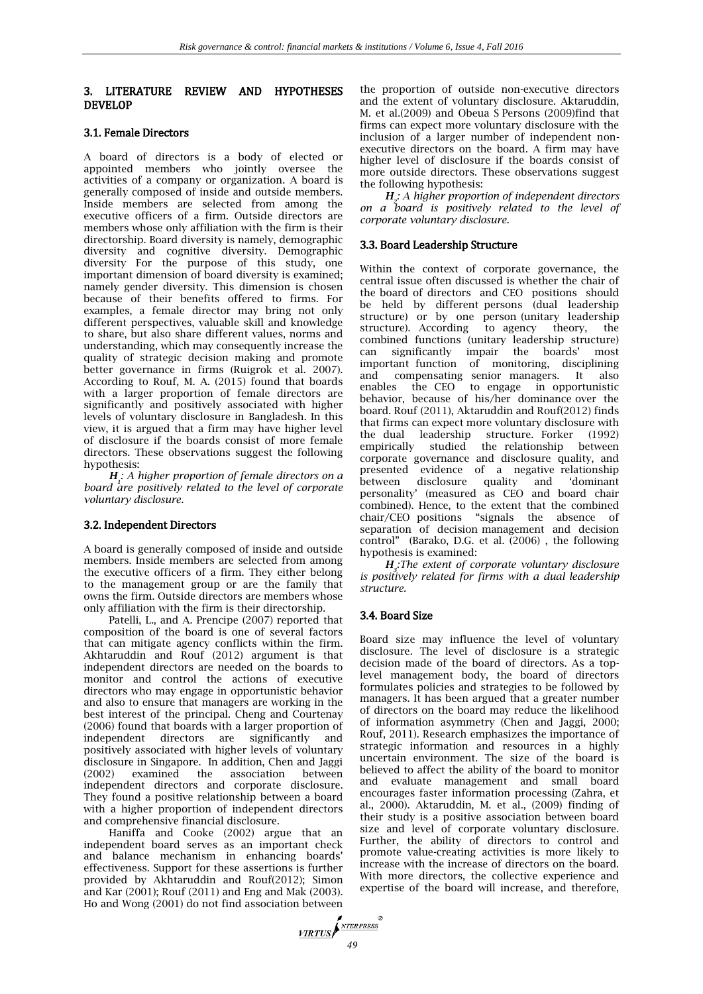## 3. LITERATURE REVIEW AND HYPOTHESES DEVELOP

## 3.1. Female Directors

A board of directors is a body of elected or appointed members who jointly oversee the activities of a company or organization. A board is generally composed of inside and outside members. Inside members are selected from among the executive officers of a firm. Outside directors are members whose only affiliation with the firm is their directorship. Board diversity is namely, demographic diversity and cognitive diversity. Demographic diversity For the purpose of this study, one important dimension of board diversity is examined; namely gender diversity. This dimension is chosen because of their benefits offered to firms. For examples, a female director may bring not only different perspectives, valuable skill and knowledge to share, but also share different values, norms and understanding, which may consequently increase the quality of strategic decision making and promote better governance in firms (Ruigrok et al. 2007). According to Rouf, M. A. (2015) found that boards with a larger proportion of female directors are significantly and positively associated with higher levels of voluntary disclosure in Bangladesh. In this view, it is argued that a firm may have higher level of disclosure if the boards consist of more female directors. These observations suggest the following hypothesis:

*H1 : A higher proportion of female directors on a board are positively related to the level of corporate voluntary disclosure.*

## 3.2. Independent Directors

A board is generally composed of inside and outside members. Inside members are selected from among the executive officers of a firm. They either belong to the management group or are the family that owns the firm. Outside directors are members whose only affiliation with the firm is their directorship.

Patelli, L., and A. Prencipe (2007) reported that composition of the board is one of several factors that can mitigate agency conflicts within the firm. Akhtaruddin and Rouf (2012) argument is that independent directors are needed on the boards to monitor and control the actions of executive directors who may engage in opportunistic behavior and also to ensure that managers are working in the best interest of the principal. Cheng and Courtenay (2006) found that boards with a larger proportion of independent directors are significantly and positively associated with higher levels of voluntary disclosure in Singapore. In addition, Chen and Jaggi (2002) examined the association between independent directors and corporate disclosure. They found a positive relationship between a board with a higher proportion of independent directors and comprehensive financial disclosure.

Haniffa and Cooke (2002) argue that an independent board serves as an important check and balance mechanism in enhancing boards' effectiveness. Support for these assertions is further provided by Akhtaruddin and Rouf(2012); Simon and Kar (2001); Rouf (2011) and Eng and Mak (2003). Ho and Wong (2001) do not find association between

the proportion of outside non-executive directors and the extent of voluntary disclosure. Aktaruddin, M. et al.(2009) and Obeua S Persons (2009)find that firms can expect more voluntary disclosure with the inclusion of a larger number of independent nonexecutive directors on the board. A firm may have higher level of disclosure if the boards consist of more outside directors. These observations suggest the following hypothesis:

*H2 : A higher proportion of independent directors on a board is positively related to the level of corporate voluntary disclosure.*

## 3.3. Board Leadership Structure

Within the context of corporate governance, the central issue often discussed is whether the chair of the board of directors and CEO positions should be held by different persons (dual leadership structure) or by one person (unitary leadership structure). According to agency theory, the combined functions (unitary leadership structure) can significantly impair the boards' most important function of monitoring, disciplining and compensating senior managers. It also enables the CEO to engage in opportunistic behavior, because of his/her dominance over the board. Rouf (2011), Aktaruddin and Rouf(2012) finds that firms can expect more voluntary disclosure with the dual leadership structure. Forker (1992) empirically studied the relationship between corporate governance and disclosure quality, and presented evidence of a negative relationship between disclosure quality and 'dominant personality' (measured as CEO and board chair combined). Hence, to the extent that the combined chair/CEO positions "signals the absence of separation of decision management and decision control" (Barako, D.G. et al. (2006) , the following hypothesis is examined:

*H3 :The extent of corporate voluntary disclosure is positively related for firms with a dual leadership structure.* 

## 3.4. Board Size

Board size may influence the level of voluntary disclosure. The level of disclosure is a strategic decision made of the board of directors. As a toplevel management body, the board of directors formulates policies and strategies to be followed by managers. It has been argued that a greater number of directors on the board may reduce the likelihood of information asymmetry (Chen and Jaggi, 2000; Rouf, 2011). Research emphasizes the importance of strategic information and resources in a highly uncertain environment. The size of the board is believed to affect the ability of the board to monitor and evaluate management and small board encourages faster information processing (Zahra, et al., 2000). Aktaruddin, M. et al., (2009) finding of their study is a positive association between board size and level of corporate voluntary disclosure. Further, the ability of directors to control and promote value-creating activities is more likely to increase with the increase of directors on the board. With more directors, the collective experience and expertise of the board will increase, and therefore,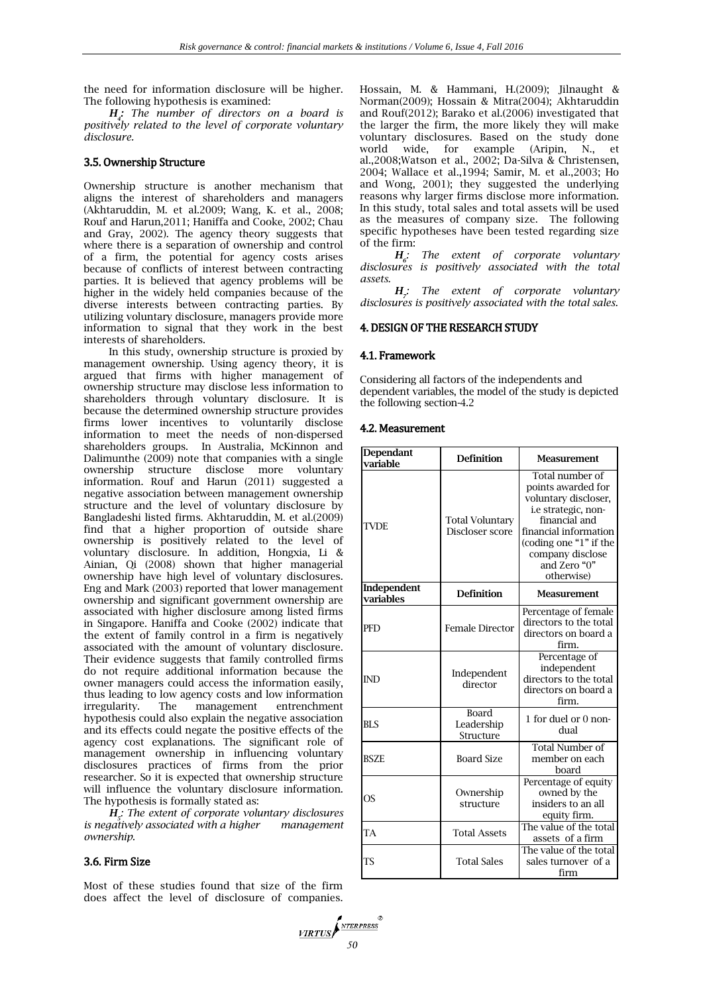the need for information disclosure will be higher. The following hypothesis is examined:

*H4 : The number of directors on a board is positively related to the level of corporate voluntary disclosure.* 

#### 3.5. Ownership Structure

Ownership structure is another mechanism that aligns the interest of shareholders and managers (Akhtaruddin, M. et al.2009; Wang, K. et al., 2008; Rouf and Harun,2011; Haniffa and Cooke, 2002; Chau and Gray, 2002). The agency theory suggests that where there is a separation of ownership and control of a firm, the potential for agency costs arises because of conflicts of interest between contracting parties. It is believed that agency problems will be higher in the widely held companies because of the diverse interests between contracting parties. By utilizing voluntary disclosure, managers provide more information to signal that they work in the best interests of shareholders.

In this study, ownership structure is proxied by management ownership. Using agency theory, it is argued that firms with higher management of ownership structure may disclose less information to shareholders through voluntary disclosure. It is because the determined ownership structure provides firms lower incentives to voluntarily disclose information to meet the needs of non-dispersed shareholders groups. In Australia, McKinnon and Dalimunthe (2009) note that companies with a single ownership structure disclose more voluntary information. Rouf and Harun (2011) suggested a negative association between management ownership structure and the level of voluntary disclosure by Bangladeshi listed firms. Akhtaruddin, M. et al.(2009) find that a higher proportion of outside share ownership is positively related to the level of voluntary disclosure. In addition, Hongxia, Li & Ainian, Qi (2008) shown that higher managerial ownership have high level of voluntary disclosures. Eng and Mark (2003) reported that lower management ownership and significant government ownership are associated with higher disclosure among listed firms in Singapore. Haniffa and Cooke (2002) indicate that the extent of family control in a firm is negatively associated with the amount of voluntary disclosure. Their evidence suggests that family controlled firms do not require additional information because the owner managers could access the information easily, thus leading to low agency costs and low information irregularity. The management entrenchment hypothesis could also explain the negative association and its effects could negate the positive effects of the agency cost explanations. The significant role of management ownership in influencing voluntary disclosures practices of firms from the prior researcher. So it is expected that ownership structure will influence the voluntary disclosure information. The hypothesis is formally stated as:

*H5 : The extent of corporate voluntary disclosures is negatively associated with a higher management ownership.*

#### 3.6. Firm Size

Most of these studies found that size of the firm does affect the level of disclosure of companies.

Hossain, M. & Hammani, H.(2009); Jilnaught & Norman(2009); Hossain & Mitra(2004); Akhtaruddin and Rouf(2012); Barako et al.(2006) investigated that the larger the firm, the more likely they will make voluntary disclosures. Based on the study done world wide, for example (Aripin, N., et al.,2008;Watson et al., 2002; Da-Silva & Christensen, 2004; Wallace et al.,1994; Samir, M. et al.,2003; Ho and Wong, 2001); they suggested the underlying reasons why larger firms disclose more information. In this study, total sales and total assets will be used as the measures of company size. The following specific hypotheses have been tested regarding size of the firm:

 *H<sup>6</sup> : The extent of corporate voluntary disclosures is positively associated with the total assets.*

 *H<sup>7</sup> : The extent of corporate voluntary disclosures is positively associated with the total sales.*

#### 4. DESIGN OF THE RESEARCH STUDY

#### 4.1. Framework

Considering all factors of the independents and dependent variables, the model of the study is depicted the following section-4.2

#### 4.2. Measurement

| <b>Dependant</b><br>variable | <b>Definition</b>                  | <b>Measurement</b>                                                                                                                                                                                         |  |  |
|------------------------------|------------------------------------|------------------------------------------------------------------------------------------------------------------------------------------------------------------------------------------------------------|--|--|
| <b>TVDE</b>                  | Total Voluntary<br>Discloser score | Total number of<br>points awarded for<br>voluntary discloser,<br>i.e strategic, non-<br>financial and<br>financial information<br>(coding one "1" if the<br>company disclose<br>and Zero "0"<br>otherwise) |  |  |
| Independent<br>variables     | <b>Definition</b>                  | <b>Measurement</b>                                                                                                                                                                                         |  |  |
| <b>PFD</b>                   | <b>Female Director</b>             | Percentage of female<br>directors to the total<br>directors on board a<br>firm.                                                                                                                            |  |  |
| <b>IND</b>                   | Independent<br>director            | Percentage of<br>independent<br>directors to the total<br>directors on board a<br>firm.                                                                                                                    |  |  |
| <b>BLS</b>                   | Board<br>Leadership<br>Structure   | 1 for duel or 0 non-<br>dual                                                                                                                                                                               |  |  |
| <b>BSZE</b>                  | <b>Board Size</b>                  | <b>Total Number of</b><br>member on each<br>board                                                                                                                                                          |  |  |
| OS                           | Ownership<br>structure             | Percentage of equity<br>owned by the<br>insiders to an all<br>equity firm.                                                                                                                                 |  |  |
| <b>TA</b>                    | <b>Total Assets</b>                | The value of the total<br>assets of a firm                                                                                                                                                                 |  |  |
| <b>TS</b>                    | <b>Total Sales</b>                 | The value of the total<br>sales turnover of a<br>firm                                                                                                                                                      |  |  |

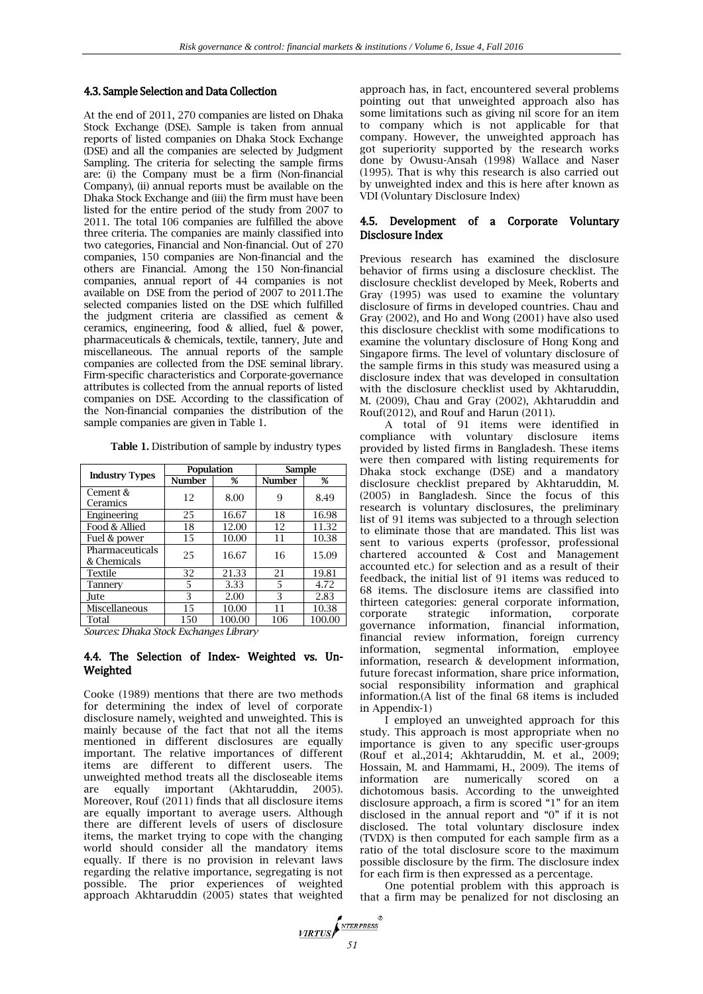## 4.3. Sample Selection and Data Collection

At the end of 2011, 270 companies are listed on Dhaka Stock Exchange (DSE). Sample is taken from annual reports of listed companies on Dhaka Stock Exchange (DSE) and all the companies are selected by Judgment Sampling. The criteria for selecting the sample firms are: (i) the Company must be a firm (Non-financial Company), (ii) annual reports must be available on the Dhaka Stock Exchange and (iii) the firm must have been listed for the entire period of the study from 2007 to 2011. The total 106 companies are fulfilled the above three criteria. The companies are mainly classified into two categories, Financial and Non-financial. Out of 270 companies, 150 companies are Non-financial and the others are Financial. Among the 150 Non-financial companies, annual report of 44 companies is not available on DSE from the period of 2007 to 2011.The selected companies listed on the DSE which fulfilled the judgment criteria are classified as cement & ceramics, engineering, food & allied, fuel & power, pharmaceuticals & chemicals, textile, tannery, Jute and miscellaneous. The annual reports of the sample companies are collected from the DSE seminal library. Firm-specific characteristics and Corporate-governance attributes is collected from the annual reports of listed companies on DSE. According to the classification of the Non-financial companies the distribution of the sample companies are given in Table 1.

**Table 1.** Distribution of sample by industry types

|                       | Population    |        | Sample        |        |  |
|-----------------------|---------------|--------|---------------|--------|--|
| <b>Industry Types</b> | <b>Number</b> | %      | <b>Number</b> | %      |  |
| Cement &              | 12            | 8.00   | 9             | 8.49   |  |
| Ceramics              |               |        |               |        |  |
| Engineering           | 25            | 16.67  | 18            | 16.98  |  |
| Food & Allied         | 18            | 12.00  | 12            | 11.32  |  |
| Fuel & power          | 15            | 10.00  | 11            | 10.38  |  |
| Pharmaceuticals       | 25            | 16.67  | 16            | 15.09  |  |
| & Chemicals           |               |        |               |        |  |
| Textile               | 32            | 21.33  | 21            | 19.81  |  |
| Tannery               | 5             | 3.33   | 5             | 4.72   |  |
| <b>Iute</b>           | 3             | 2.00   | 3             | 2.83   |  |
| Miscellaneous         | 15            | 10.00  | 11            | 10.38  |  |
| Total                 | 150           | 100.00 | 106           | 100.00 |  |

*Sources: Dhaka Stock Exchanges Library*

## 4.4. The Selection of Index- Weighted vs. Un-Weighted

Cooke (1989) mentions that there are two methods for determining the index of level of corporate disclosure namely, weighted and unweighted. This is mainly because of the fact that not all the items mentioned in different disclosures are equally important. The relative importances of different items are different to different users. The unweighted method treats all the discloseable items are equally important (Akhtaruddin, 2005). Moreover, Rouf (2011) finds that all disclosure items are equally important to average users. Although there are different levels of users of disclosure items, the market trying to cope with the changing world should consider all the mandatory items equally. If there is no provision in relevant laws regarding the relative importance, segregating is not possible. The prior experiences of weighted approach Akhtaruddin (2005) states that weighted approach has, in fact, encountered several problems pointing out that unweighted approach also has some limitations such as giving nil score for an item to company which is not applicable for that company. However, the unweighted approach has got superiority supported by the research works done by Owusu-Ansah (1998) Wallace and Naser (1995). That is why this research is also carried out by unweighted index and this is here after known as VDI (Voluntary Disclosure Index)

## 4.5. Development of a Corporate Voluntary Disclosure Index

Previous research has examined the disclosure behavior of firms using a disclosure checklist. The disclosure checklist developed by Meek, Roberts and Gray (1995) was used to examine the voluntary disclosure of firms in developed countries. Chau and Gray (2002), and Ho and Wong (2001) have also used this disclosure checklist with some modifications to examine the voluntary disclosure of Hong Kong and Singapore firms. The level of voluntary disclosure of the sample firms in this study was measured using a disclosure index that was developed in consultation with the disclosure checklist used by Akhtaruddin, M. (2009), Chau and Gray (2002), Akhtaruddin and Rouf(2012), and Rouf and Harun (2011).

A total of 91 items were identified in compliance with voluntary disclosure items provided by listed firms in Bangladesh. These items were then compared with listing requirements for Dhaka stock exchange (DSE) and a mandatory disclosure checklist prepared by Akhtaruddin, M. (2005) in Bangladesh. Since the focus of this research is voluntary disclosures, the preliminary list of 91 items was subjected to a through selection to eliminate those that are mandated. This list was sent to various experts (professor, professional chartered accounted & Cost and Management accounted etc.) for selection and as a result of their feedback, the initial list of 91 items was reduced to 68 items. The disclosure items are classified into thirteen categories: general corporate information, corporate strategic information, corporate governance information, financial information, financial review information, foreign currency information, segmental information, employee information, research & development information, future forecast information, share price information, social responsibility information and graphical information.(A list of the final 68 items is included in Appendix-1)

I employed an unweighted approach for this study. This approach is most appropriate when no importance is given to any specific user-groups (Rouf et al.,2014; Akhtaruddin, M. et al., 2009; Hossain, M. and Hammami, H., 2009). The items of information are numerically scored on a dichotomous basis. According to the unweighted disclosure approach, a firm is scored "1" for an item disclosed in the annual report and "0" if it is not disclosed. The total voluntary disclosure index (TVDX) is then computed for each sample firm as a ratio of the total disclosure score to the maximum possible disclosure by the firm. The disclosure index for each firm is then expressed as a percentage.

One potential problem with this approach is that a firm may be penalized for not disclosing an

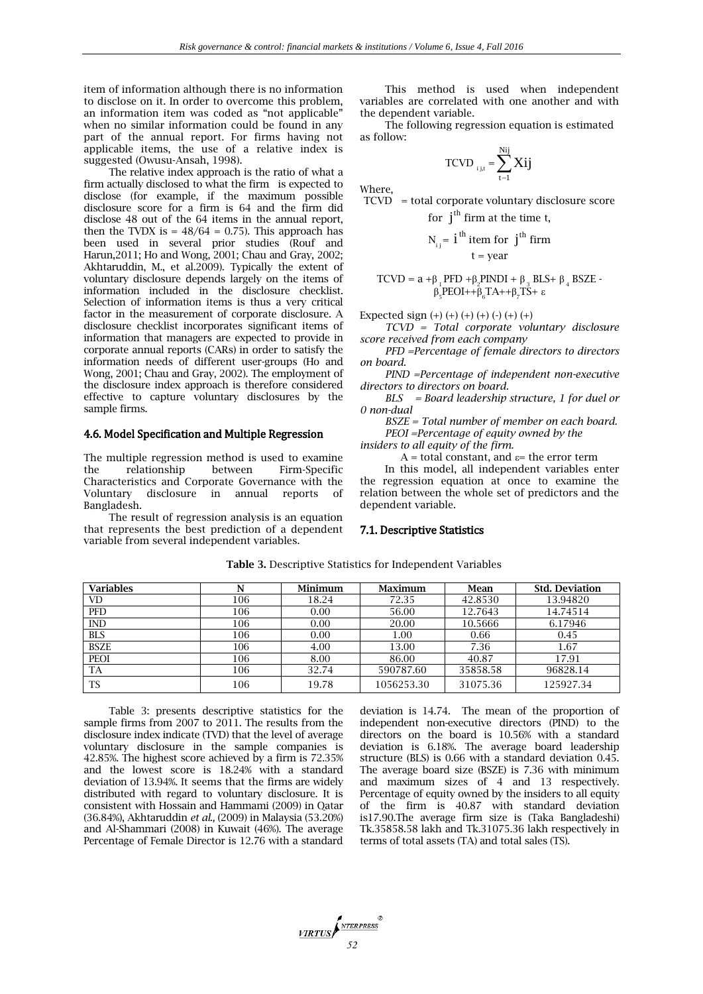item of information although there is no information to disclose on it. In order to overcome this problem, an information item was coded as "not applicable" when no similar information could be found in any part of the annual report. For firms having not applicable items, the use of a relative index is suggested (Owusu-Ansah, 1998).

The relative index approach is the ratio of what a firm actually disclosed to what the firm is expected to disclose (for example, if the maximum possible disclosure score for a firm is 64 and the firm did disclose 48 out of the 64 items in the annual report, then the TVDX is  $= 48/64 = 0.75$ ). This approach has been used in several prior studies (Rouf and Harun,2011; Ho and Wong, 2001; Chau and Gray, 2002; Akhtaruddin, M., et al.2009). Typically the extent of voluntary disclosure depends largely on the items of information included in the disclosure checklist. Selection of information items is thus a very critical factor in the measurement of corporate disclosure. A disclosure checklist incorporates significant items of information that managers are expected to provide in corporate annual reports (CARs) in order to satisfy the information needs of different user-groups (Ho and Wong, 2001; Chau and Gray, 2002). The employment of the disclosure index approach is therefore considered effective to capture voluntary disclosures by the sample firms.

#### 4.6. Model Specification and Multiple Regression

The multiple regression method is used to examine the relationship between Firm-Specific Characteristics and Corporate Governance with the Voluntary disclosure in annual reports of Bangladesh.

The result of regression analysis is an equation that represents the best prediction of a dependent variable from several independent variables.

This method is used when independent variables are correlated with one another and with the dependent variable.

The following regression equation is estimated as follow:

$$
TCVD_{i,j,t} = \sum_{t=1}^{Nij} Xij
$$

Where,

TCVD = total corporate voluntary disclosure score

for  $j<sup>th</sup>$  firm at the time t,

$$
N_{ij} = i^{th} item for j^{th} firm
$$
  
t = year

$$
\begin{array}{c} TCVD = a + \beta_1 PFD + \beta_2 PINDI + \beta_3 BLS + \beta_4 BSZE - \\ \beta_5 PEOI + \beta_6 TA + \beta_7 TS + \epsilon \end{array}.
$$

Expected sign  $(+)$   $(+)$   $(+)$   $(+)$   $(+)$   $(+)$   $(+)$ 

*TCVD = Total corporate voluntary disclosure score received from each company*

*PFD =Percentage of female directors to directors on board.*

*PIND =Percentage of independent non-executive directors to directors on board.*

*BLS = Board leadership structure, 1 for duel or 0 non-dual*

*BSZE = Total number of member on each board. PEOI =Percentage of equity owned by the* 

*insiders to all equity of the firm.*

 $A =$  total constant, and  $\varepsilon$  = the error term

In this model, all independent variables enter the regression equation at once to examine the relation between the whole set of predictors and the dependent variable.

#### 7.1. Descriptive Statistics

| <b>Variables</b> | N   | Minimum | Maximum    | Mean     | <b>Std. Deviation</b> |
|------------------|-----|---------|------------|----------|-----------------------|
| <b>VD</b>        | 106 | 18.24   | 72.35      | 42.8530  | 13.94820              |
| <b>PFD</b>       | 106 | 0.00    | 56.00      | 12.7643  | 14.74514              |
| <b>IND</b>       | 106 | 0.00    | 20.00      | 10.5666  | 6.17946               |
| <b>BLS</b>       | 106 | 0.00    | 1.00       | 0.66     | 0.45                  |
| <b>BSZE</b>      | 106 | 4.00    | 13.00      | 7.36     | 1.67                  |
| <b>PEOI</b>      | 106 | 8.00    | 86.00      | 40.87    | 17.91                 |
| TA               | 106 | 32.74   | 590787.60  | 35858.58 | 96828.14              |
| <b>TS</b>        | 106 | 19.78   | 1056253.30 | 31075.36 | 125927.34             |

**Table 3.** Descriptive Statistics for Independent Variables

Table 3: presents descriptive statistics for the sample firms from 2007 to 2011. The results from the disclosure index indicate (TVD) that the level of average voluntary disclosure in the sample companies is 42.85%. The highest score achieved by a firm is 72.35% and the lowest score is 18.24% with a standard deviation of 13.94%. It seems that the firms are widely distributed with regard to voluntary disclosure. It is consistent with Hossain and Hammami (2009) in Qatar (36.84%), Akhtaruddin *et al.,* (2009) in Malaysia (53.20%) and Al-Shammari (2008) in Kuwait (46%). The average Percentage of Female Director is 12.76 with a standard

deviation is 14.74. The mean of the proportion of independent non-executive directors (PIND) to the directors on the board is 10.56% with a standard deviation is 6.18%. The average board leadership structure (BLS) is 0.66 with a standard deviation 0.45. The average board size (BSZE) is 7.36 with minimum and maximum sizes of 4 and 13 respectively. Percentage of equity owned by the insiders to all equity of the firm is 40.87 with standard deviation is17.90.The average firm size is (Taka Bangladeshi) Tk.35858.58 lakh and Tk.31075.36 lakh respectively in terms of total assets (TA) and total sales (TS).

$$
\underbrace{\text{VIRTUS}}_{52} / \underbrace{\text{NTERPRESS}}^{\text{S}} \underbrace{\text{SUSR}}_{52}
$$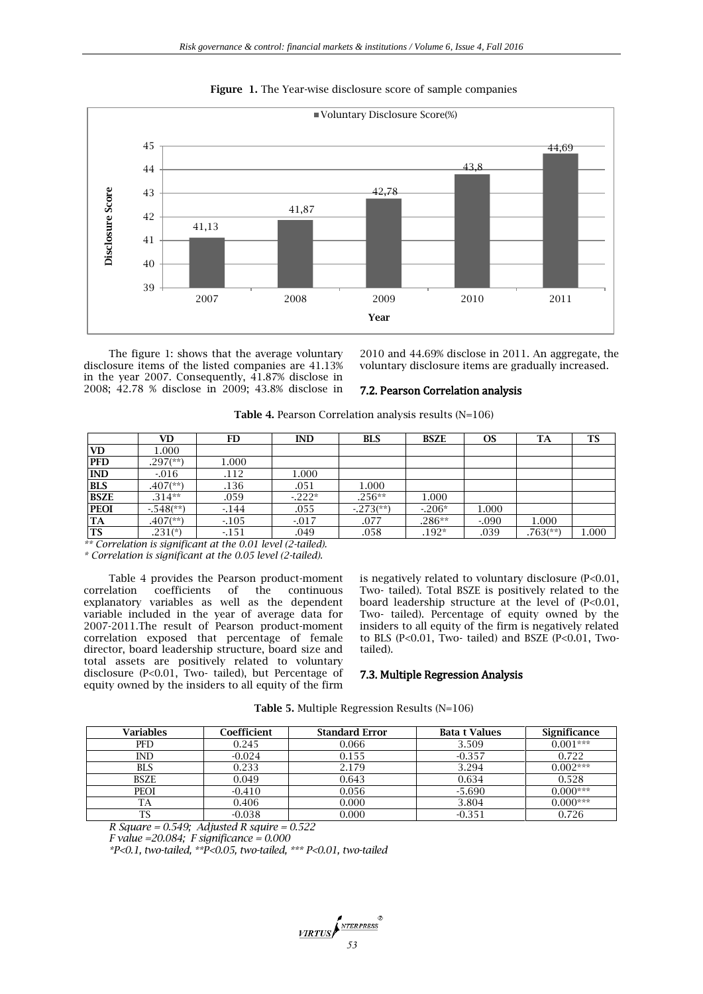

**Figure 1.** The Year-wise disclosure score of sample companies

The figure 1: shows that the average voluntary disclosure items of the listed companies are 41.13% in the year 2007. Consequently, 41.87% disclose in 2008; 42.78 % disclose in 2009; 43.8% disclose in

2010 and 44.69% disclose in 2011. An aggregate, the voluntary disclosure items are gradually increased.

#### 7.2. Pearson Correlation analysis

|             | VD.                      | FD                                                         | <b>IND</b> | <b>BLS</b>             | <b>BSZE</b> | <b>OS</b> | <b>TA</b>              | TS        |
|-------------|--------------------------|------------------------------------------------------------|------------|------------------------|-------------|-----------|------------------------|-----------|
| <b>VD</b>   | 1.000                    |                                                            |            |                        |             |           |                        |           |
| <b>PFD</b>  | $.297$ <sup>(**)</sup> ) | 1.000                                                      |            |                        |             |           |                        |           |
| <b>IND</b>  | $-0.016$                 | .112                                                       | 1.000      |                        |             |           |                        |           |
| <b>BLS</b>  | $.407$ <sup>**</sup> )   | .136                                                       | .051       | 1.000                  |             |           |                        |           |
| <b>BSZE</b> | $.314**$                 | .059                                                       | $-222*$    | $.256**$               | 1.000       |           |                        |           |
| <b>PEOI</b> | $-548$ <sup>**</sup> )   | $-144$                                                     | .055       | $-273$ <sup>**</sup> ) | $-206*$     | 1.000     |                        |           |
| <b>TA</b>   | $.407$ <sup>**</sup> )   | $-105$                                                     | $-0.017$   | .077                   | $.286**$    | $-0.090$  | 1.000                  |           |
| <b>TS</b>   | $.231(*)$                | $-151$                                                     | .049       | .058                   | $.192*$     | .039      | $.763$ <sup>(**)</sup> | $1.000\,$ |
|             |                          | ** Convelation is significant at the 0.01 lovel (9 toiled) |            |                        |             |           |                        |           |

**Table 4.** Pearson Correlation analysis results (N=106)

*\*\* Correlation is significant at the 0.01 level (2-tailed). \* Correlation is significant at the 0.05 level (2-tailed).*

Table 4 provides the Pearson product-moment correlation coefficients of the continuous explanatory variables as well as the dependent variable included in the year of average data for 2007-2011.The result of Pearson product-moment correlation exposed that percentage of female director, board leadership structure, board size and total assets are positively related to voluntary disclosure (P<0.01, Two- tailed), but Percentage of equity owned by the insiders to all equity of the firm

is negatively related to voluntary disclosure (P<0.01, Two- tailed). Total BSZE is positively related to the board leadership structure at the level of  $(P<0.01$ , Two- tailed). Percentage of equity owned by the insiders to all equity of the firm is negatively related to BLS (P<0.01, Two- tailed) and BSZE (P<0.01, Twotailed).

## 7.3. Multiple Regression Analysis

|  |  | Table 5. Multiple Regression Results (N=106) |  |  |
|--|--|----------------------------------------------|--|--|
|--|--|----------------------------------------------|--|--|

| Variables   | Coefficient | <b>Standard Error</b> | <b>Bata t Values</b> | Significance |
|-------------|-------------|-----------------------|----------------------|--------------|
| PFD         | 0.245       | 0.066                 | 3.509                | $0.001***$   |
| IND         | $-0.024$    | 0.155                 | $-0.357$             | 0.722        |
| <b>BLS</b>  | 0.233       | 2.179                 | 3.294                | $0.002***$   |
| <b>BSZE</b> | 0.049       | 0.643                 | 0.634                | 0.528        |
| <b>PEOI</b> | $-0.410$    | 0.056                 | $-5.690$             | $0.000***$   |
| TA          | 0.406       | 0.000                 | 3.804                | $0.000***$   |
| TS          | $-0.038$    | 0.000                 | $-0.351$             | 0.726        |

*R Square = 0.549; Adjusted R squire = 0.522*

*F value =20.084; F significance = 0.000*

*\*P<0.1, two-tailed, \*\*P<0.05, two-tailed, \*\*\* P<0.01, two-tailed*

NTERPRESS **VIRTUS** *53*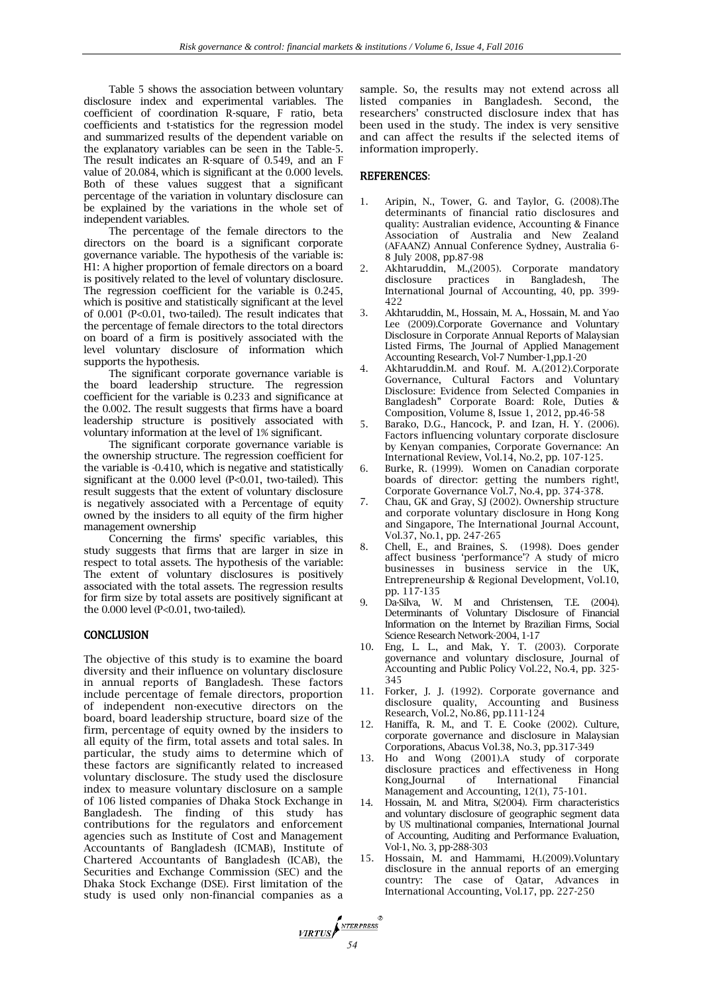Table 5 shows the association between voluntary disclosure index and experimental variables. The coefficient of coordination R-square, F ratio, beta coefficients and t-statistics for the regression model and summarized results of the dependent variable on the explanatory variables can be seen in the Table-5. The result indicates an R-square of 0.549, and an F value of 20.084, which is significant at the 0.000 levels. Both of these values suggest that a significant percentage of the variation in voluntary disclosure can be explained by the variations in the whole set of independent variables.

The percentage of the female directors to the directors on the board is a significant corporate governance variable. The hypothesis of the variable is: H1: A higher proportion of female directors on a board is positively related to the level of voluntary disclosure. The regression coefficient for the variable is 0.245, which is positive and statistically significant at the level of 0.001 (P<0.01, two-tailed). The result indicates that the percentage of female directors to the total directors on board of a firm is positively associated with the level voluntary disclosure of information which supports the hypothesis.

The significant corporate governance variable is the board leadership structure. The regression coefficient for the variable is 0.233 and significance at the 0.002. The result suggests that firms have a board leadership structure is positively associated with voluntary information at the level of 1% significant.

The significant corporate governance variable is the ownership structure. The regression coefficient for the variable is -0.410, which is negative and statistically significant at the  $0.000$  level (P<0.01, two-tailed). This result suggests that the extent of voluntary disclosure is negatively associated with a Percentage of equity owned by the insiders to all equity of the firm higher management ownership

Concerning the firms' specific variables, this study suggests that firms that are larger in size in respect to total assets. The hypothesis of the variable: The extent of voluntary disclosures is positively associated with the total assets. The regression results for firm size by total assets are positively significant at the 0.000 level (P<0.01, two-tailed).

#### **CONCLUSION**

The objective of this study is to examine the board diversity and their influence on voluntary disclosure in annual reports of Bangladesh. These factors include percentage of female directors, proportion of independent non-executive directors on the board, board leadership structure, board size of the firm, percentage of equity owned by the insiders to all equity of the firm, total assets and total sales. In particular, the study aims to determine which of these factors are significantly related to increased voluntary disclosure. The study used the disclosure index to measure voluntary disclosure on a sample of 106 listed companies of Dhaka Stock Exchange in Bangladesh. The finding of this study has contributions for the regulators and enforcement agencies such as Institute of Cost and Management Accountants of Bangladesh (ICMAB), Institute of Chartered Accountants of Bangladesh (ICAB), the Securities and Exchange Commission (SEC) and the Dhaka Stock Exchange (DSE). First limitation of the study is used only non-financial companies as a

sample. So, the results may not extend across all listed companies in Bangladesh. Second, the researchers' constructed disclosure index that has been used in the study. The index is very sensitive and can affect the results if the selected items of information improperly.

## REFERENCES:

- 1. Aripin, N., Tower, G. and Taylor, G. (2008).The determinants of financial ratio disclosures and quality: Australian evidence, Accounting & Finance Association of Australia and New Zealand (AFAANZ) Annual Conference Sydney, Australia 6- 8 July 2008, pp.87-98
- Akhtaruddin, M.,(2005). Corporate mandatory disclosure practices in Bangladesh, The Bangladesh, The International Journal of Accounting, 40, pp. 399- 422
- 3. Akhtaruddin, M., Hossain, M. A., Hossain, M. and Yao Lee (2009).Corporate Governance and Voluntary Disclosure in Corporate Annual Reports of Malaysian Listed Firms, The Journal of Applied Management Accounting Research, Vol-7 Number-1,pp.1-20
- 4. Akhtaruddin.M. and Rouf. M. A.(2012).Corporate Governance, Cultural Factors and Voluntary Disclosure: Evidence from Selected Companies in Bangladesh" Corporate Board: Role, Duties & Composition, Volume 8, Issue 1, 2012, pp.46-58
- 5. Barako, D.G., Hancock, P. and Izan, H. Y. (2006). Factors influencing voluntary corporate disclosure by Kenyan companies, Corporate Governance: An International Review, Vol.14, No.2, pp. 107-125.
- 6. Burke, R. (1999). Women on Canadian corporate boards of director: getting the numbers right!, Corporate Governance Vol.7, No.4, pp. 374-378.
- 7. Chau, GK and Gray, SJ (2002). Ownership structure and corporate voluntary disclosure in Hong Kong and Singapore, The International Journal Account, Vol.37, No.1, pp. 247-265
- 8. Chell, E., and Braines, S. (1998). Does gender affect business 'performance'? A study of micro businesses in business service in the UK, Entrepreneurship & Regional Development, Vol.10, pp. 117-135
- 9. Da-Silva, W. M and Christensen, T.E. (2004). Determinants of Voluntary Disclosure of Financial Information on the Internet by Brazilian Firms, Social Science Research Network-2004, 1-17
- 10. Eng, L. L., and Mak, Y. T. (2003). Corporate governance and voluntary disclosure, Journal of Accounting and Public Policy Vol.22, No.4, pp. 325- 345
- 11. Forker, J. J. (1992). Corporate governance and disclosure quality, Accounting and Business Research, Vol.2, No.86, pp.111-124
- Haniffa, R. M., and T. E. Cooke (2002). Culture, corporate governance and disclosure in Malaysian Corporations, Abacus Vol.38, No.3, pp.317-349
- 13. Ho and Wong (2001).A study of corporate disclosure practices and effectiveness in Hong Kong,Journal of International Financial Management and Accounting, 12(1), 75-101.
- 14. Hossain, M. and Mitra, S(2004). Firm characteristics and voluntary disclosure of geographic segment data by US multinational companies, International Journal of Accounting, Auditing and Performance Evaluation, Vol-1, No. 3, pp-288-303
- 15. Hossain, M. and Hammami, H.(2009).Voluntary disclosure in the annual reports of an emerging country: The case of Qatar, Advances in International Accounting, Vol.17, pp. 227-250